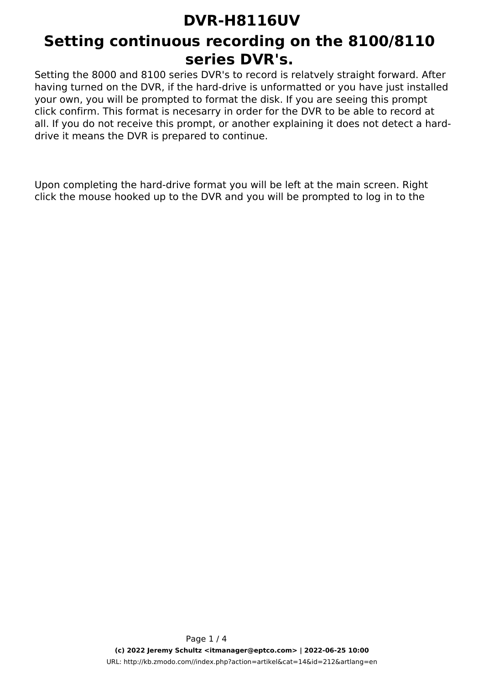### **Setting continuous recording on the 8100/8110 series DVR's.**

Setting the 8000 and 8100 series DVR's to record is relatvely straight forward. After having turned on the DVR, if the hard-drive is unformatted or you have just installed your own, you will be prompted to format the disk. If you are seeing this prompt click confirm. This format is necesarry in order for the DVR to be able to record at all. If you do not receive this prompt, or another explaining it does not detect a harddrive it means the DVR is prepared to continue.

Upon completing the hard-drive format you will be left at the main screen. Right click the mouse hooked up to the DVR and you will be prompted to log in to the

> Page 1 / 4 **(c) 2022 Jeremy Schultz <itmanager@eptco.com> | 2022-06-25 10:00** URL: http://kb.zmodo.com//index.php?action=artikel&cat=14&id=212&artlang=en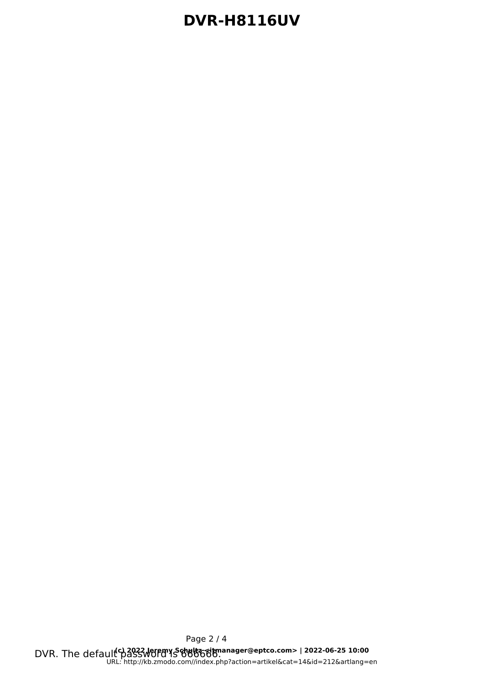DVR. The default<sup>c</sup>p2022 Jeremy Schultz dimanager@eptco.com> | 2022-06-25 10:00 Page 2 / 4 [URL: http://kb.zmodo.com//index.php?action=artikel&cat=14&id=212&artlang=en](http://kb.zmodo.com//index.php?action=artikel&cat=14&id=212&artlang=en)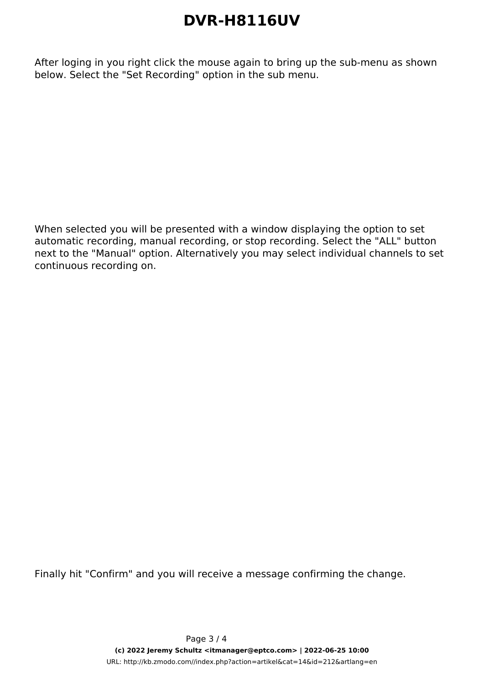After loging in you right click the mouse again to bring up the sub-menu as shown below. Select the "Set Recording" option in the sub menu.

When selected you will be presented with a window displaying the option to set automatic recording, manual recording, or stop recording. Select the "ALL" button next to the "Manual" option. Alternatively you may select individual channels to set continuous recording on.

Finally hit "Confirm" and you will receive a message confirming the change.